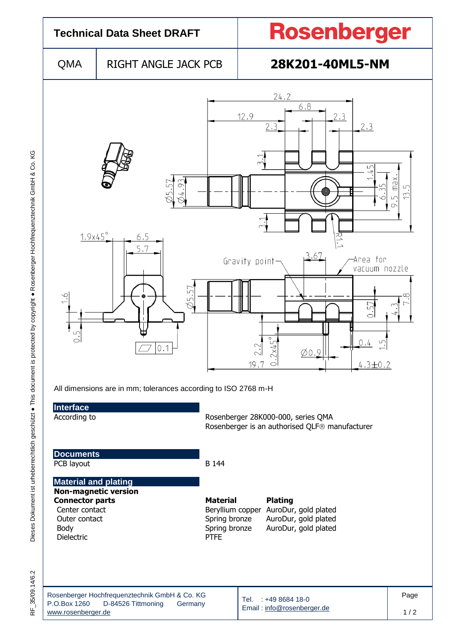

Dieses Dokument ist urheberrechtlich geschützt · This document is protected by copyright · Rosenberger Hochfrequenztechnik GmbH & Co. KG F\_35/09.14/6.2 Dieses Dokument ist urheberrechtlich geschützt ● This document is protected by copyright ● Rosenberger Hochfrequenztechnik GmbH & Co. KG

 $\frac{\mu}{\alpha}$ 

35/09.14/6.2

Dielectric

Rosenberger Hochfrequenztechnik GmbH & Co. KG P.O.Box 1260 D-84526 Tittmoning Germany [www.rosenberger.de](http://www.rosenberger.de/) Tel. : +49 8684 18-0 Email [: info@rosenberger.de](mailto:info@rosenberger.de) Page  $1/2$ 

Center contact **Beryllium copper AuroDur, gold plated** Outer contact Spring bronze AuroDur, gold plated Body<br>Dielectric Spring bronze AuroDur, gold plated<br>PTFE